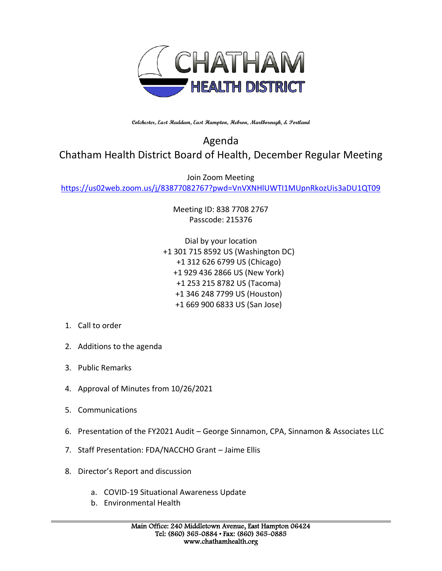

**Colchester, East Haddam, East Hampton, Hebron, Marlborough, & Portland**

## Agenda Chatham Health District Board of Health, December Regular Meeting

Join Zoom Meeting

<https://us02web.zoom.us/j/83877082767?pwd=VnVXNHlUWTI1MUpnRkozUis3aDU1QT09>

Meeting ID: 838 7708 2767 Passcode: 215376

Dial by your location +1 301 715 8592 US (Washington DC) +1 312 626 6799 US (Chicago) +1 929 436 2866 US (New York) +1 253 215 8782 US (Tacoma) +1 346 248 7799 US (Houston) +1 669 900 6833 US (San Jose)

- 1. Call to order
- 2. Additions to the agenda
- 3. Public Remarks
- 4. Approval of Minutes from 10/26/2021
- 5. Communications
- 6. Presentation of the FY2021 Audit George Sinnamon, CPA, Sinnamon & Associates LLC
- 7. Staff Presentation: FDA/NACCHO Grant Jaime Ellis
- 8. Director's Report and discussion
	- a. COVID-19 Situational Awareness Update
	- b. Environmental Health